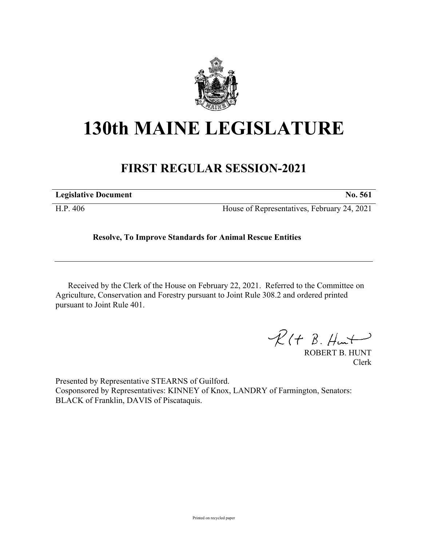

## **130th MAINE LEGISLATURE**

## **FIRST REGULAR SESSION-2021**

| <b>Legislative Document</b> | No. 561                                     |
|-----------------------------|---------------------------------------------|
| H.P. 406                    | House of Representatives, February 24, 2021 |

## **Resolve, To Improve Standards for Animal Rescue Entities**

Received by the Clerk of the House on February 22, 2021. Referred to the Committee on Agriculture, Conservation and Forestry pursuant to Joint Rule 308.2 and ordered printed pursuant to Joint Rule 401.

 $\mathcal{R}(t \; \mathcal{B}, \mathcal{H}_{\mathsf{int}})$ 

ROBERT B. HUNT Clerk

Presented by Representative STEARNS of Guilford. Cosponsored by Representatives: KINNEY of Knox, LANDRY of Farmington, Senators: BLACK of Franklin, DAVIS of Piscataquis.